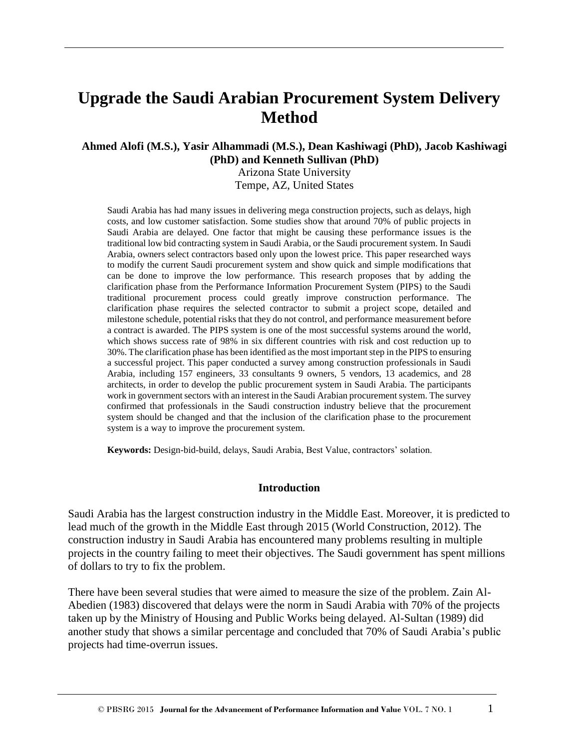# **Upgrade the Saudi Arabian Procurement System Delivery Method**

#### **Ahmed Alofi (M.S.), Yasir Alhammadi (M.S.), Dean Kashiwagi (PhD), Jacob Kashiwagi (PhD) and Kenneth Sullivan (PhD)**

Arizona State University Tempe, AZ, United States

Saudi Arabia has had many issues in delivering mega construction projects, such as delays, high costs, and low customer satisfaction. Some studies show that around 70% of public projects in Saudi Arabia are delayed. One factor that might be causing these performance issues is the traditional low bid contracting system in Saudi Arabia, or the Saudi procurement system. In Saudi Arabia, owners select contractors based only upon the lowest price. This paper researched ways to modify the current Saudi procurement system and show quick and simple modifications that can be done to improve the low performance. This research proposes that by adding the clarification phase from the Performance Information Procurement System (PIPS) to the Saudi traditional procurement process could greatly improve construction performance. The clarification phase requires the selected contractor to submit a project scope, detailed and milestone schedule, potential risks that they do not control, and performance measurement before a contract is awarded. The PIPS system is one of the most successful systems around the world, which shows success rate of 98% in six different countries with risk and cost reduction up to 30%. The clarification phase has been identified as the most important step in the PIPS to ensuring a successful project. This paper conducted a survey among construction professionals in Saudi Arabia, including 157 engineers, 33 consultants 9 owners, 5 vendors, 13 academics, and 28 architects, in order to develop the public procurement system in Saudi Arabia. The participants work in government sectors with an interest in the Saudi Arabian procurement system. The survey confirmed that professionals in the Saudi construction industry believe that the procurement system should be changed and that the inclusion of the clarification phase to the procurement system is a way to improve the procurement system.

**Keywords:** Design-bid-build, delays, Saudi Arabia, Best Value, contractors' solation.

#### **Introduction**

Saudi Arabia has the largest construction industry in the Middle East. Moreover, it is predicted to lead much of the growth in the Middle East through 2015 (World Construction, 2012). The construction industry in Saudi Arabia has encountered many problems resulting in multiple projects in the country failing to meet their objectives. The Saudi government has spent millions of dollars to try to fix the problem.

There have been several studies that were aimed to measure the size of the problem. Zain Al-Abedien (1983) discovered that delays were the norm in Saudi Arabia with 70% of the projects taken up by the Ministry of Housing and Public Works being delayed. Al-Sultan (1989) did another study that shows a similar percentage and concluded that 70% of Saudi Arabia's public projects had time-overrun issues.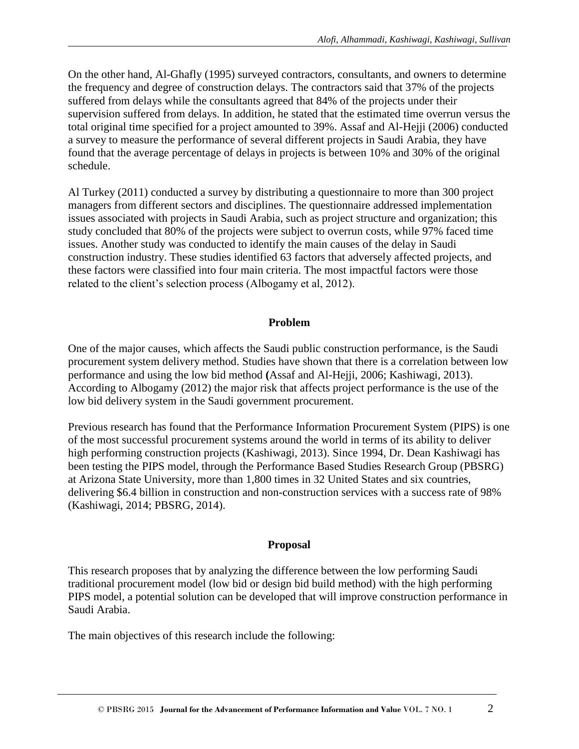On the other hand, Al-Ghafly (1995) surveyed contractors, consultants, and owners to determine the frequency and degree of construction delays. The contractors said that 37% of the projects suffered from delays while the consultants agreed that 84% of the projects under their supervision suffered from delays. In addition, he stated that the estimated time overrun versus the total original time specified for a project amounted to 39%. Assaf and Al-Hejji (2006) conducted a survey to measure the performance of several different projects in Saudi Arabia, they have found that the average percentage of delays in projects is between 10% and 30% of the original schedule.

Al Turkey (2011) conducted a survey by distributing a questionnaire to more than 300 project managers from different sectors and disciplines. The questionnaire addressed implementation issues associated with projects in Saudi Arabia, such as project structure and organization; this study concluded that 80% of the projects were subject to overrun costs, while 97% faced time issues. Another study was conducted to identify the main causes of the delay in Saudi construction industry. These studies identified 63 factors that adversely affected projects, and these factors were classified into four main criteria. The most impactful factors were those related to the client's selection process (Albogamy et al, 2012).

#### **Problem**

One of the major causes, which affects the Saudi public construction performance, is the Saudi procurement system delivery method. Studies have shown that there is a correlation between low performance and using the low bid method **(**Assaf and Al-Hejji, 2006; Kashiwagi, 2013). According to Albogamy (2012) the major risk that affects project performance is the use of the low bid delivery system in the Saudi government procurement.

Previous research has found that the Performance Information Procurement System (PIPS) is one of the most successful procurement systems around the world in terms of its ability to deliver high performing construction projects (Kashiwagi, 2013). Since 1994, Dr. Dean Kashiwagi has been testing the PIPS model, through the Performance Based Studies Research Group (PBSRG) at Arizona State University, more than 1,800 times in 32 United States and six countries, delivering \$6.4 billion in construction and non-construction services with a success rate of 98% (Kashiwagi, 2014; PBSRG, 2014).

#### **Proposal**

This research proposes that by analyzing the difference between the low performing Saudi traditional procurement model (low bid or design bid build method) with the high performing PIPS model, a potential solution can be developed that will improve construction performance in Saudi Arabia.

The main objectives of this research include the following: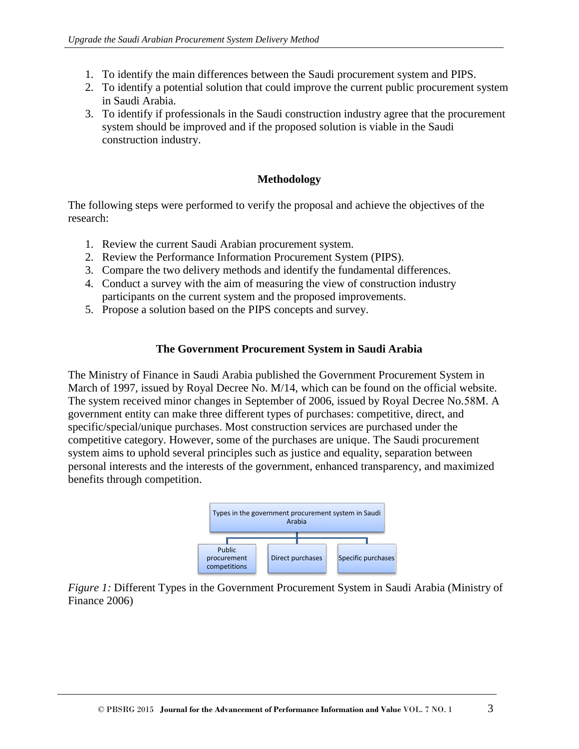- 1. To identify the main differences between the Saudi procurement system and PIPS.
- 2. To identify a potential solution that could improve the current public procurement system in Saudi Arabia.
- 3. To identify if professionals in the Saudi construction industry agree that the procurement system should be improved and if the proposed solution is viable in the Saudi construction industry.

#### **Methodology**

The following steps were performed to verify the proposal and achieve the objectives of the research:

- 1. Review the current Saudi Arabian procurement system.
- 2. Review the Performance Information Procurement System (PIPS).
- 3. Compare the two delivery methods and identify the fundamental differences.
- 4. Conduct a survey with the aim of measuring the view of construction industry participants on the current system and the proposed improvements.
- 5. Propose a solution based on the PIPS concepts and survey.

#### **The Government Procurement System in Saudi Arabia**

The Ministry of Finance in Saudi Arabia published the Government Procurement System in March of 1997, issued by Royal Decree No. M/14, which can be found on the official website. The system received minor changes in September of 2006, issued by Royal Decree No.58M. A government entity can make three different types of purchases: competitive, direct, and specific/special/unique purchases. Most construction services are purchased under the competitive category. However, some of the purchases are unique. The Saudi procurement system aims to uphold several principles such as justice and equality, separation between personal interests and the interests of the government, enhanced transparency, and maximized benefits through competition.



*Figure 1:* Different Types in the Government Procurement System in Saudi Arabia (Ministry of Finance 2006)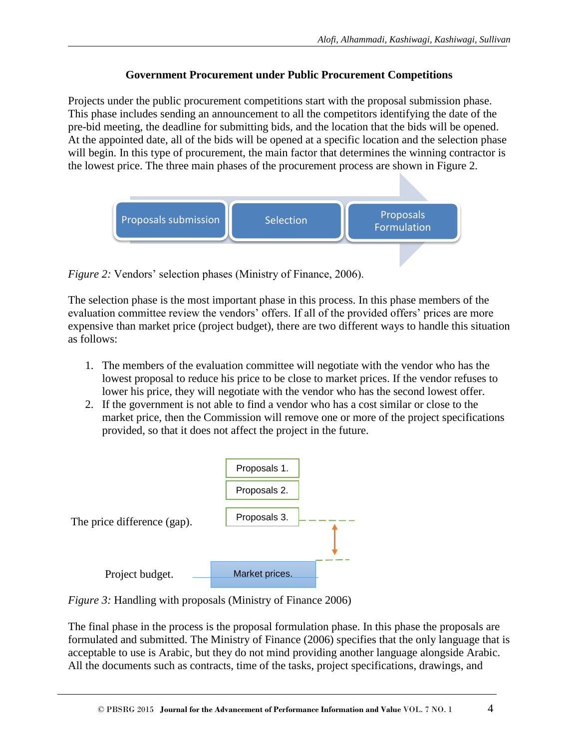# **Government Procurement under Public Procurement Competitions**

Projects under the public procurement competitions start with the proposal submission phase. This phase includes sending an announcement to all the competitors identifying the date of the pre-bid meeting, the deadline for submitting bids, and the location that the bids will be opened. At the appointed date, all of the bids will be opened at a specific location and the selection phase will begin. In this type of procurement, the main factor that determines the winning contractor is the lowest price. The three main phases of the procurement process are shown in Figure 2.



*Figure 2:* Vendors' selection phases (Ministry of Finance, 2006).

The selection phase is the most important phase in this process. In this phase members of the evaluation committee review the vendors' offers. If all of the provided offers' prices are more expensive than market price (project budget), there are two different ways to handle this situation as follows:

- 1. The members of the evaluation committee will negotiate with the vendor who has the lowest proposal to reduce his price to be close to market prices. If the vendor refuses to lower his price, they will negotiate with the vendor who has the second lowest offer.
- 2. If the government is not able to find a vendor who has a cost similar or close to the market price, then the Commission will remove one or more of the project specifications provided, so that it does not affect the project in the future.



*Figure 3:* Handling with proposals (Ministry of Finance 2006)

The final phase in the process is the proposal formulation phase. In this phase the proposals are formulated and submitted. The Ministry of Finance (2006) specifies that the only language that is acceptable to use is Arabic, but they do not mind providing another language alongside Arabic. All the documents such as contracts, time of the tasks, project specifications, drawings, and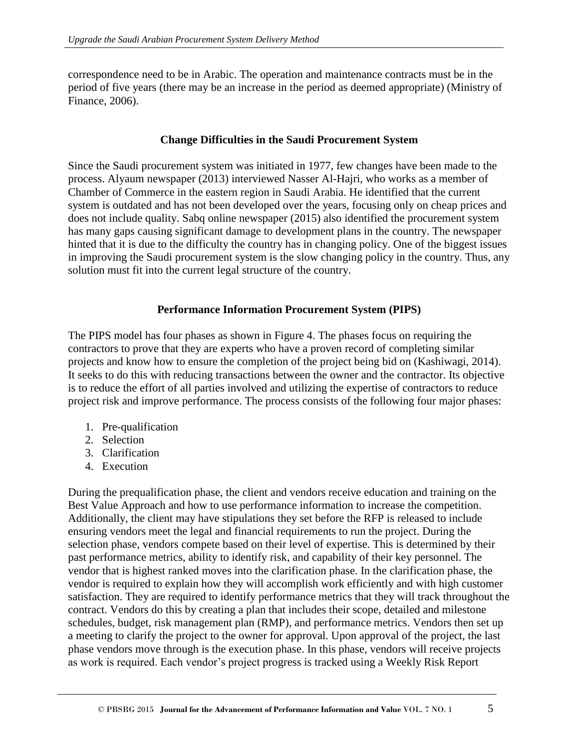correspondence need to be in Arabic. The operation and maintenance contracts must be in the period of five years (there may be an increase in the period as deemed appropriate) (Ministry of Finance, 2006).

#### **Change Difficulties in the Saudi Procurement System**

Since the Saudi procurement system was initiated in 1977, few changes have been made to the process. Alyaum newspaper (2013) interviewed Nasser Al-Hajri, who works as a member of Chamber of Commerce in the eastern region in Saudi Arabia. He identified that the current system is outdated and has not been developed over the years, focusing only on cheap prices and does not include quality. Sabq online newspaper (2015) also identified the procurement system has many gaps causing significant damage to development plans in the country. The newspaper hinted that it is due to the difficulty the country has in changing policy. One of the biggest issues in improving the Saudi procurement system is the slow changing policy in the country. Thus, any solution must fit into the current legal structure of the country.

#### **Performance Information Procurement System (PIPS)**

The PIPS model has four phases as shown in Figure 4. The phases focus on requiring the contractors to prove that they are experts who have a proven record of completing similar projects and know how to ensure the completion of the project being bid on (Kashiwagi, 2014). It seeks to do this with reducing transactions between the owner and the contractor. Its objective is to reduce the effort of all parties involved and utilizing the expertise of contractors to reduce project risk and improve performance. The process consists of the following four major phases:

- 1. Pre-qualification
- 2. Selection
- 3. Clarification
- 4. Execution

During the prequalification phase, the client and vendors receive education and training on the Best Value Approach and how to use performance information to increase the competition. Additionally, the client may have stipulations they set before the RFP is released to include ensuring vendors meet the legal and financial requirements to run the project. During the selection phase, vendors compete based on their level of expertise. This is determined by their past performance metrics, ability to identify risk, and capability of their key personnel. The vendor that is highest ranked moves into the clarification phase. In the clarification phase, the vendor is required to explain how they will accomplish work efficiently and with high customer satisfaction. They are required to identify performance metrics that they will track throughout the contract. Vendors do this by creating a plan that includes their scope, detailed and milestone schedules, budget, risk management plan (RMP), and performance metrics. Vendors then set up a meeting to clarify the project to the owner for approval. Upon approval of the project, the last phase vendors move through is the execution phase. In this phase, vendors will receive projects as work is required. Each vendor's project progress is tracked using a Weekly Risk Report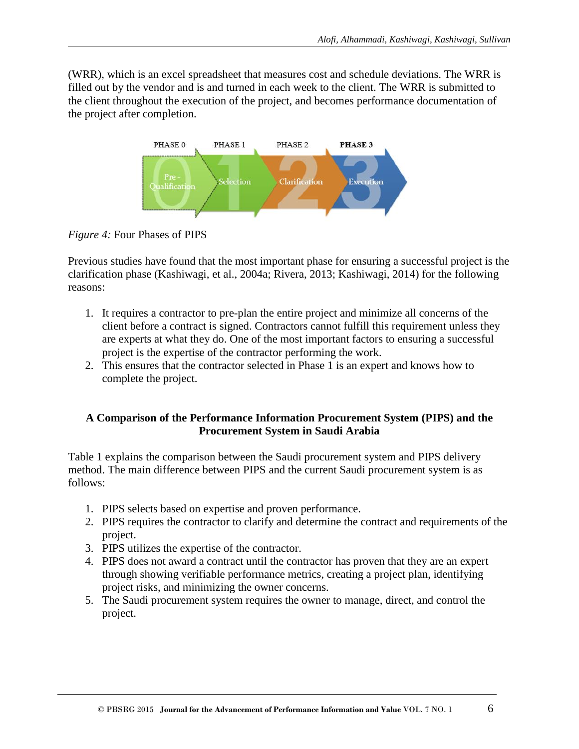(WRR), which is an excel spreadsheet that measures cost and schedule deviations. The WRR is filled out by the vendor and is and turned in each week to the client. The WRR is submitted to the client throughout the execution of the project, and becomes performance documentation of the project after completion.



*Figure 4:* Four Phases of PIPS

Previous studies have found that the most important phase for ensuring a successful project is the clarification phase (Kashiwagi, et al., 2004a; Rivera, 2013; Kashiwagi, 2014) for the following reasons:

- 1. It requires a contractor to pre-plan the entire project and minimize all concerns of the client before a contract is signed. Contractors cannot fulfill this requirement unless they are experts at what they do. One of the most important factors to ensuring a successful project is the expertise of the contractor performing the work.
- 2. This ensures that the contractor selected in Phase 1 is an expert and knows how to complete the project.

# **A Comparison of the Performance Information Procurement System (PIPS) and the Procurement System in Saudi Arabia**

Table 1 explains the comparison between the Saudi procurement system and PIPS delivery method. The main difference between PIPS and the current Saudi procurement system is as follows:

- 1. PIPS selects based on expertise and proven performance.
- 2. PIPS requires the contractor to clarify and determine the contract and requirements of the project.
- 3. PIPS utilizes the expertise of the contractor.
- 4. PIPS does not award a contract until the contractor has proven that they are an expert through showing verifiable performance metrics, creating a project plan, identifying project risks, and minimizing the owner concerns.
- 5. The Saudi procurement system requires the owner to manage, direct, and control the project.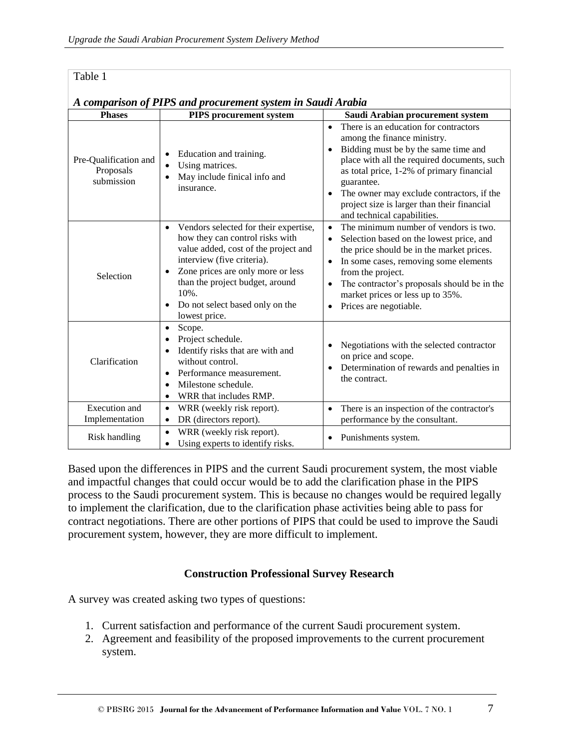$T<sub>ab1a</sub>$  1

| rabie i                                                     |                                                                                                                                                                                                                                                                                                 |                                                                                                                                                                                                                                                                                                                                                                                          |  |
|-------------------------------------------------------------|-------------------------------------------------------------------------------------------------------------------------------------------------------------------------------------------------------------------------------------------------------------------------------------------------|------------------------------------------------------------------------------------------------------------------------------------------------------------------------------------------------------------------------------------------------------------------------------------------------------------------------------------------------------------------------------------------|--|
| A comparison of PIPS and procurement system in Saudi Arabia |                                                                                                                                                                                                                                                                                                 |                                                                                                                                                                                                                                                                                                                                                                                          |  |
| <b>Phases</b>                                               | <b>PIPS</b> procurement system                                                                                                                                                                                                                                                                  | Saudi Arabian procurement system                                                                                                                                                                                                                                                                                                                                                         |  |
| Pre-Qualification and<br>Proposals<br>submission            | Education and training.<br>Using matrices.<br>May include finical info and<br>insurance.                                                                                                                                                                                                        | There is an education for contractors<br>$\bullet$<br>among the finance ministry.<br>Bidding must be by the same time and<br>$\bullet$<br>place with all the required documents, such<br>as total price, 1-2% of primary financial<br>guarantee.<br>The owner may exclude contractors, if the<br>$\bullet$<br>project size is larger than their financial<br>and technical capabilities. |  |
| Selection                                                   | Vendors selected for their expertise,<br>$\bullet$<br>how they can control risks with<br>value added, cost of the project and<br>interview (five criteria).<br>Zone prices are only more or less<br>than the project budget, around<br>10%.<br>Do not select based only on the<br>lowest price. | The minimum number of vendors is two.<br>$\bullet$<br>Selection based on the lowest price, and<br>$\bullet$<br>the price should be in the market prices.<br>In some cases, removing some elements<br>$\bullet$<br>from the project.<br>The contractor's proposals should be in the<br>$\bullet$<br>market prices or less up to 35%.<br>Prices are negotiable.                            |  |
| Clarification                                               | Scope.<br>$\bullet$<br>Project schedule.<br>Identify risks that are with and<br>without control.<br>Performance measurement.<br>Milestone schedule.<br>WRR that includes RMP.<br>$\bullet$                                                                                                      | Negotiations with the selected contractor<br>on price and scope.<br>Determination of rewards and penalties in<br>the contract.                                                                                                                                                                                                                                                           |  |
| Execution and                                               | WRR (weekly risk report).<br>$\bullet$                                                                                                                                                                                                                                                          | There is an inspection of the contractor's<br>$\bullet$                                                                                                                                                                                                                                                                                                                                  |  |
| Implementation                                              | DR (directors report).<br>$\bullet$                                                                                                                                                                                                                                                             | performance by the consultant.                                                                                                                                                                                                                                                                                                                                                           |  |
| <b>Risk handling</b>                                        | WRR (weekly risk report).<br>$\bullet$<br>Using experts to identify risks.                                                                                                                                                                                                                      | Punishments system.                                                                                                                                                                                                                                                                                                                                                                      |  |

Based upon the differences in PIPS and the current Saudi procurement system, the most viable and impactful changes that could occur would be to add the clarification phase in the PIPS process to the Saudi procurement system. This is because no changes would be required legally to implement the clarification, due to the clarification phase activities being able to pass for contract negotiations. There are other portions of PIPS that could be used to improve the Saudi procurement system, however, they are more difficult to implement.

#### **Construction Professional Survey Research**

A survey was created asking two types of questions:

- 1. Current satisfaction and performance of the current Saudi procurement system.
- 2. Agreement and feasibility of the proposed improvements to the current procurement system.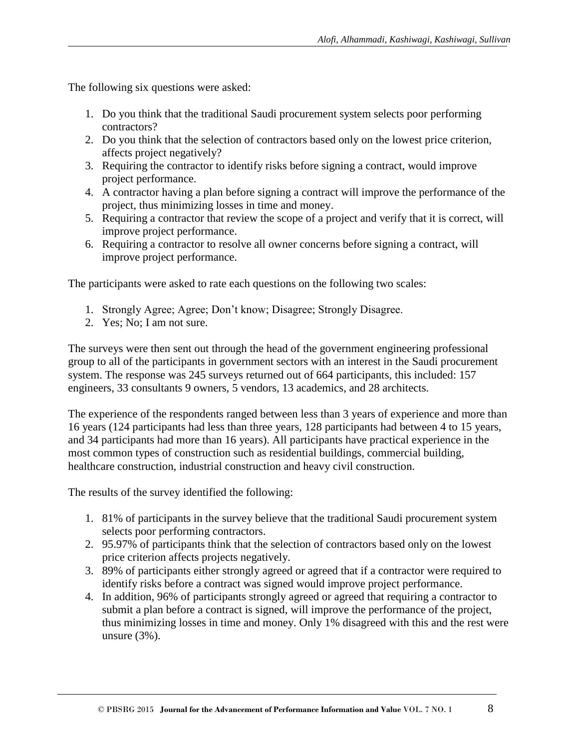The following six questions were asked:

- 1. Do you think that the traditional Saudi procurement system selects poor performing contractors?
- 2. Do you think that the selection of contractors based only on the lowest price criterion, affects project negatively?
- 3. Requiring the contractor to identify risks before signing a contract, would improve project performance.
- 4. A contractor having a plan before signing a contract will improve the performance of the project, thus minimizing losses in time and money.
- 5. Requiring a contractor that review the scope of a project and verify that it is correct, will improve project performance.
- 6. Requiring a contractor to resolve all owner concerns before signing a contract, will improve project performance.

The participants were asked to rate each questions on the following two scales:

- 1. Strongly Agree; Agree; Don't know; Disagree; Strongly Disagree.
- 2. Yes; No; I am not sure.

The surveys were then sent out through the head of the government engineering professional group to all of the participants in government sectors with an interest in the Saudi procurement system. The response was 245 surveys returned out of 664 participants, this included: 157 engineers, 33 consultants 9 owners, 5 vendors, 13 academics, and 28 architects.

The experience of the respondents ranged between less than 3 years of experience and more than 16 years (124 participants had less than three years, 128 participants had between 4 to 15 years, and 34 participants had more than 16 years). All participants have practical experience in the most common types of construction such as residential buildings, commercial building, healthcare construction, industrial construction and heavy civil construction.

The results of the survey identified the following:

- 1. 81% of participants in the survey believe that the traditional Saudi procurement system selects poor performing contractors.
- 2. 95.97% of participants think that the selection of contractors based only on the lowest price criterion affects projects negatively.
- 3. 89% of participants either strongly agreed or agreed that if a contractor were required to identify risks before a contract was signed would improve project performance.
- 4. In addition, 96% of participants strongly agreed or agreed that requiring a contractor to submit a plan before a contract is signed, will improve the performance of the project, thus minimizing losses in time and money. Only 1% disagreed with this and the rest were unsure (3%).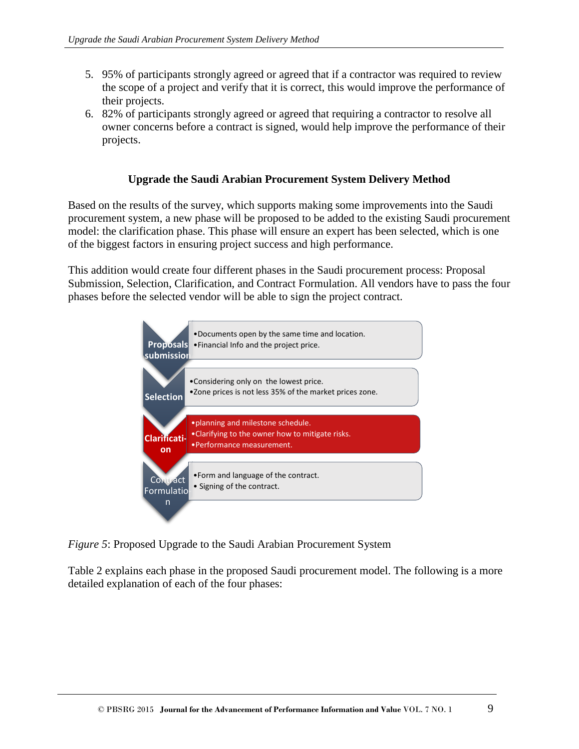- 5. 95% of participants strongly agreed or agreed that if a contractor was required to review the scope of a project and verify that it is correct, this would improve the performance of their projects.
- 6. 82% of participants strongly agreed or agreed that requiring a contractor to resolve all owner concerns before a contract is signed, would help improve the performance of their projects.

## **Upgrade the Saudi Arabian Procurement System Delivery Method**

Based on the results of the survey, which supports making some improvements into the Saudi procurement system, a new phase will be proposed to be added to the existing Saudi procurement model: the clarification phase. This phase will ensure an expert has been selected, which is one of the biggest factors in ensuring project success and high performance.

This addition would create four different phases in the Saudi procurement process: Proposal Submission, Selection, Clarification, and Contract Formulation. All vendors have to pass the four phases before the selected vendor will be able to sign the project contract.



*Figure 5*: Proposed Upgrade to the Saudi Arabian Procurement System

Table 2 explains each phase in the proposed Saudi procurement model. The following is a more detailed explanation of each of the four phases: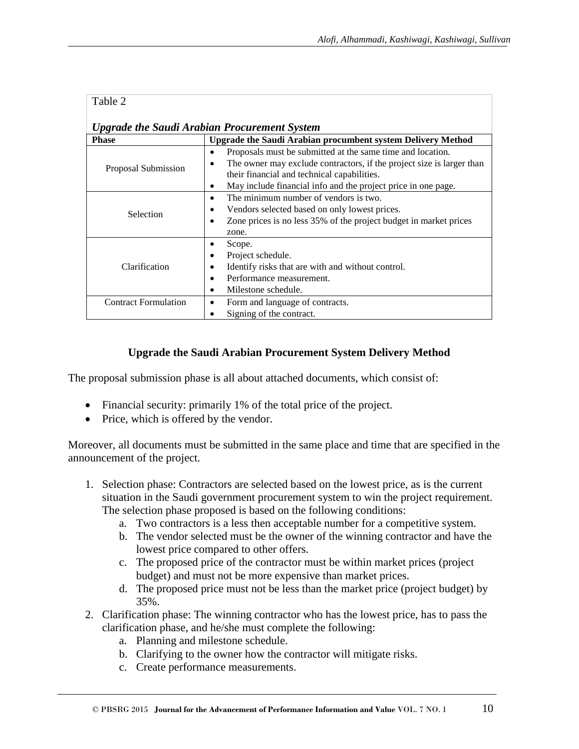| Table 2                                             |                                                                       |  |  |
|-----------------------------------------------------|-----------------------------------------------------------------------|--|--|
| <b>Upgrade the Saudi Arabian Procurement System</b> |                                                                       |  |  |
| <b>Phase</b>                                        | <b>Upgrade the Saudi Arabian procumbent system Delivery Method</b>    |  |  |
|                                                     | Proposals must be submitted at the same time and location.            |  |  |
| Proposal Submission                                 | The owner may exclude contractors, if the project size is larger than |  |  |
|                                                     | their financial and technical capabilities.                           |  |  |
|                                                     | May include financial info and the project price in one page.<br>٠    |  |  |
|                                                     | The minimum number of vendors is two.<br>٠                            |  |  |
| Selection                                           | Vendors selected based on only lowest prices.<br>٠                    |  |  |
|                                                     | Zone prices is no less 35% of the project budget in market prices     |  |  |
|                                                     | zone.                                                                 |  |  |
|                                                     | Scope.                                                                |  |  |
|                                                     | Project schedule.                                                     |  |  |
| Clarification                                       | Identify risks that are with and without control.                     |  |  |
|                                                     | Performance measurement.                                              |  |  |
|                                                     | Milestone schedule.                                                   |  |  |
| <b>Contract Formulation</b>                         | Form and language of contracts.<br>٠                                  |  |  |
|                                                     | Signing of the contract.                                              |  |  |

# **Upgrade the Saudi Arabian Procurement System Delivery Method**

The proposal submission phase is all about attached documents, which consist of:

- Financial security: primarily 1% of the total price of the project.
- Price, which is offered by the vendor.

Moreover, all documents must be submitted in the same place and time that are specified in the announcement of the project.

- 1. Selection phase: Contractors are selected based on the lowest price, as is the current situation in the Saudi government procurement system to win the project requirement. The selection phase proposed is based on the following conditions:
	- a. Two contractors is a less then acceptable number for a competitive system.
	- b. The vendor selected must be the owner of the winning contractor and have the lowest price compared to other offers.
	- c. The proposed price of the contractor must be within market prices (project budget) and must not be more expensive than market prices.
	- d. The proposed price must not be less than the market price (project budget) by 35%.
- 2. Clarification phase: The winning contractor who has the lowest price, has to pass the clarification phase, and he/she must complete the following:
	- a. Planning and milestone schedule.
	- b. Clarifying to the owner how the contractor will mitigate risks.
	- c. Create performance measurements.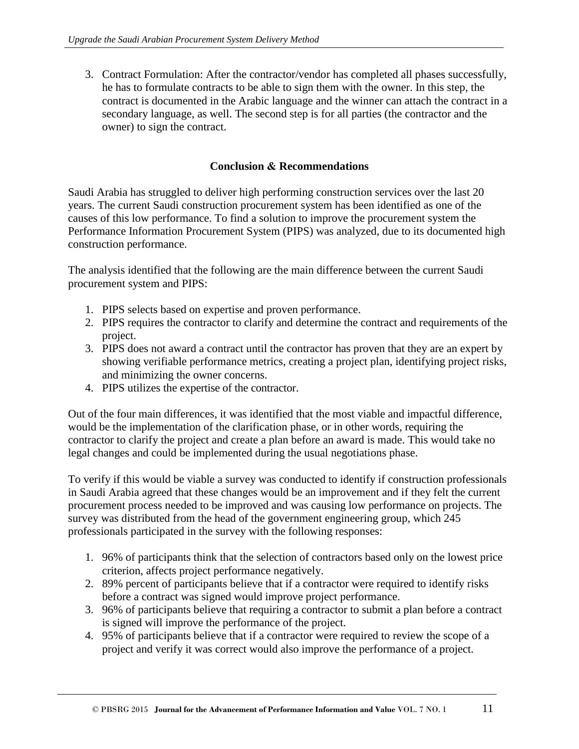3. Contract Formulation: After the contractor/vendor has completed all phases successfully, he has to formulate contracts to be able to sign them with the owner. In this step, the contract is documented in the Arabic language and the winner can attach the contract in a secondary language, as well. The second step is for all parties (the contractor and the owner) to sign the contract.

## **Conclusion & Recommendations**

Saudi Arabia has struggled to deliver high performing construction services over the last 20 years. The current Saudi construction procurement system has been identified as one of the causes of this low performance. To find a solution to improve the procurement system the Performance Information Procurement System (PIPS) was analyzed, due to its documented high construction performance.

The analysis identified that the following are the main difference between the current Saudi procurement system and PIPS:

- 1. PIPS selects based on expertise and proven performance.
- 2. PIPS requires the contractor to clarify and determine the contract and requirements of the project.
- 3. PIPS does not award a contract until the contractor has proven that they are an expert by showing verifiable performance metrics, creating a project plan, identifying project risks, and minimizing the owner concerns.
- 4. PIPS utilizes the expertise of the contractor.

Out of the four main differences, it was identified that the most viable and impactful difference, would be the implementation of the clarification phase, or in other words, requiring the contractor to clarify the project and create a plan before an award is made. This would take no legal changes and could be implemented during the usual negotiations phase.

To verify if this would be viable a survey was conducted to identify if construction professionals in Saudi Arabia agreed that these changes would be an improvement and if they felt the current procurement process needed to be improved and was causing low performance on projects. The survey was distributed from the head of the government engineering group, which 245 professionals participated in the survey with the following responses:

- 1. 96% of participants think that the selection of contractors based only on the lowest price criterion, affects project performance negatively.
- 2. 89% percent of participants believe that if a contractor were required to identify risks before a contract was signed would improve project performance.
- 3. 96% of participants believe that requiring a contractor to submit a plan before a contract is signed will improve the performance of the project.
- 4. 95% of participants believe that if a contractor were required to review the scope of a project and verify it was correct would also improve the performance of a project.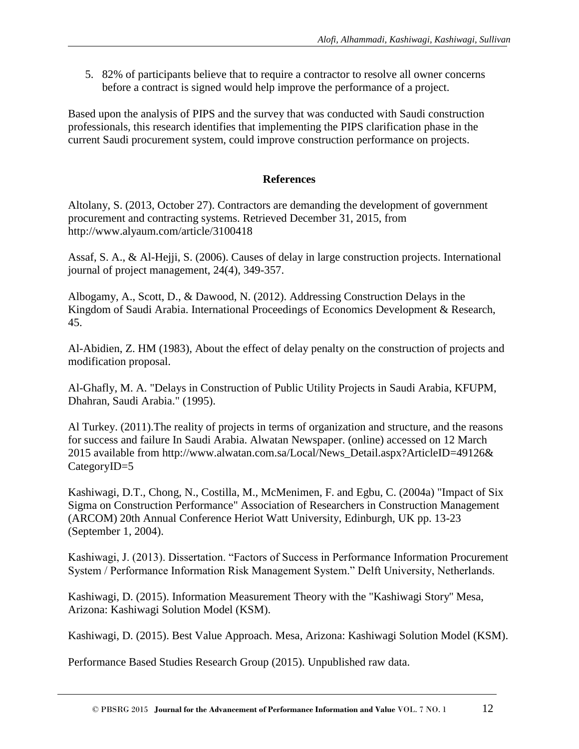5. 82% of participants believe that to require a contractor to resolve all owner concerns before a contract is signed would help improve the performance of a project.

Based upon the analysis of PIPS and the survey that was conducted with Saudi construction professionals, this research identifies that implementing the PIPS clarification phase in the current Saudi procurement system, could improve construction performance on projects.

# **References**

Altolany, S. (2013, October 27). Contractors are demanding the development of government procurement and contracting systems. Retrieved December 31, 2015, from <http://www.alyaum.com/article/3100418>

Assaf, S. A., & Al-Hejji, S. (2006). Causes of delay in large construction projects. International journal of project management, 24(4), 349-357.

Albogamy, A., Scott, D., & Dawood, N. (2012). Addressing Construction Delays in the Kingdom of Saudi Arabia. International Proceedings of Economics Development & Research, 45.

Al-Abidien, Z. HM (1983), About the effect of delay penalty on the construction of projects and modification proposal.

Al-Ghafly, M. A. "Delays in Construction of Public Utility Projects in Saudi Arabia, KFUPM, Dhahran, Saudi Arabia." (1995).

Al Turkey. (2011).The reality of projects in terms of organization and structure, and the reasons for success and failure In Saudi Arabia. Alwatan Newspaper. (online) accessed on 12 March 2015 available from http://www.alwatan.com.sa/Local/News\_Detail.aspx?ArticleID=49126& CategoryID=5

Kashiwagi, D.T., Chong, N., Costilla, M., McMenimen, F. and Egbu, C. (2004a) "Impact of Six Sigma on Construction Performance" Association of Researchers in Construction Management (ARCOM) 20th Annual Conference Heriot Watt University, Edinburgh, UK pp. 13-23 (September 1, 2004).

Kashiwagi, J. (2013). Dissertation. "Factors of Success in Performance Information Procurement System / Performance Information Risk Management System." Delft University, Netherlands.

Kashiwagi, D. (2015). Information Measurement Theory with the "Kashiwagi Story'' Mesa, Arizona: Kashiwagi Solution Model (KSM).

Kashiwagi, D. (2015). Best Value Approach. Mesa, Arizona: Kashiwagi Solution Model (KSM).

Performance Based Studies Research Group (2015). Unpublished raw data.